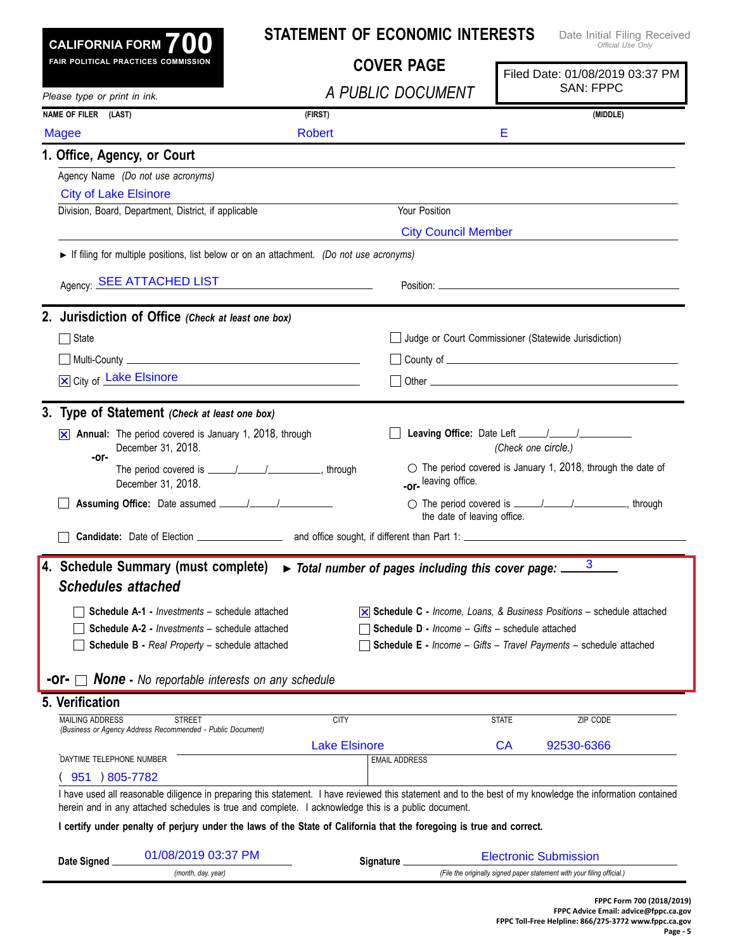|                                                              |                                                                                                                                                                                                                                                                   |                      | <b>STATEMENT OF ECONOMIC INTERESTS</b>               |                     | Date Initial Filing Received<br>Official Use Only                                        |  |
|--------------------------------------------------------------|-------------------------------------------------------------------------------------------------------------------------------------------------------------------------------------------------------------------------------------------------------------------|----------------------|------------------------------------------------------|---------------------|------------------------------------------------------------------------------------------|--|
| CALIFORNIA FORM $700$<br>FAIR POLITICAL PRACTICES COMMISSION |                                                                                                                                                                                                                                                                   | <b>COVER PAGE</b>    |                                                      |                     | Filed Date: 01/08/2019 03:37 PM                                                          |  |
| Please type or print in ink.                                 |                                                                                                                                                                                                                                                                   | A PUBLIC DOCUMENT    |                                                      |                     | <b>SAN: FPPC</b>                                                                         |  |
| NAME OF FILER (LAST)                                         |                                                                                                                                                                                                                                                                   | (FIRST)              |                                                      |                     | (MIDDLE)                                                                                 |  |
| <b>Magee</b>                                                 |                                                                                                                                                                                                                                                                   | Robert               |                                                      | Е                   |                                                                                          |  |
| 1. Office, Agency, or Court                                  |                                                                                                                                                                                                                                                                   |                      |                                                      |                     |                                                                                          |  |
|                                                              | Agency Name (Do not use acronyms)                                                                                                                                                                                                                                 |                      |                                                      |                     |                                                                                          |  |
| <b>City of Lake Elsinore</b>                                 |                                                                                                                                                                                                                                                                   |                      |                                                      |                     |                                                                                          |  |
|                                                              | Division, Board, Department, District, if applicable                                                                                                                                                                                                              |                      | Your Position                                        |                     |                                                                                          |  |
|                                                              |                                                                                                                                                                                                                                                                   |                      | <b>City Council Member</b>                           |                     |                                                                                          |  |
|                                                              | If filing for multiple positions, list below or on an attachment. (Do not use acronyms)                                                                                                                                                                           |                      |                                                      |                     |                                                                                          |  |
|                                                              | Agency: <b>SEE ATTACHED LIST</b>                                                                                                                                                                                                                                  |                      |                                                      |                     |                                                                                          |  |
|                                                              | 2. Jurisdiction of Office (Check at least one box)                                                                                                                                                                                                                |                      |                                                      |                     |                                                                                          |  |
| ヿ State                                                      |                                                                                                                                                                                                                                                                   |                      | Judge or Court Commissioner (Statewide Jurisdiction) |                     |                                                                                          |  |
|                                                              |                                                                                                                                                                                                                                                                   |                      |                                                      |                     |                                                                                          |  |
| X City of Lake Elsinore                                      | <u> 1980 - Johann Barbara, martin a</u>                                                                                                                                                                                                                           |                      |                                                      |                     |                                                                                          |  |
|                                                              | 3. Type of Statement (Check at least one box)                                                                                                                                                                                                                     |                      |                                                      |                     |                                                                                          |  |
|                                                              | $\overline{\times}$ Annual: The period covered is January 1, 2018, through<br>December 31, 2018.                                                                                                                                                                  |                      |                                                      | (Check one circle.) |                                                                                          |  |
| -or-                                                         | December 31, 2018.                                                                                                                                                                                                                                                |                      | -or-leaving office.                                  |                     | $\circlearrowright$ The period covered is January 1, 2018, through the date of           |  |
|                                                              |                                                                                                                                                                                                                                                                   |                      | the date of leaving office.                          |                     |                                                                                          |  |
|                                                              |                                                                                                                                                                                                                                                                   |                      |                                                      |                     |                                                                                          |  |
|                                                              | 4. Schedule Summary (must complete) $\triangleright$ Total number of pages including this cover page: $\frac{3}{2}$                                                                                                                                               |                      |                                                      |                     |                                                                                          |  |
| <b>Schedules attached</b>                                    |                                                                                                                                                                                                                                                                   |                      |                                                      |                     |                                                                                          |  |
|                                                              | Schedule A-1 - Investments - schedule attached                                                                                                                                                                                                                    |                      |                                                      |                     | $\overline{\times}$ Schedule C - Income, Loans, & Business Positions – schedule attached |  |
|                                                              | <b>Schedule A-2 - Investments - schedule attached</b>                                                                                                                                                                                                             |                      | Schedule D - Income - Gifts - schedule attached      |                     |                                                                                          |  |
|                                                              | Schedule B - Real Property - schedule attached                                                                                                                                                                                                                    |                      |                                                      |                     | <b>Schedule E</b> - Income - Gifts - Travel Payments - schedule attached                 |  |
|                                                              |                                                                                                                                                                                                                                                                   |                      |                                                      |                     |                                                                                          |  |
|                                                              |                                                                                                                                                                                                                                                                   |                      |                                                      |                     |                                                                                          |  |
| -or- ।                                                       | <b>None</b> - No reportable interests on any schedule                                                                                                                                                                                                             |                      |                                                      |                     |                                                                                          |  |
| <b>MAILING ADDRESS</b>                                       | <b>STREET</b>                                                                                                                                                                                                                                                     | <b>CITY</b>          |                                                      | <b>STATE</b>        | ZIP CODE                                                                                 |  |
|                                                              | (Business or Agency Address Recommended - Public Document)                                                                                                                                                                                                        | <b>Lake Elsinore</b> |                                                      | CA                  | 92530-6366                                                                               |  |
| DAYTIME TELEPHONE NUMBER                                     |                                                                                                                                                                                                                                                                   |                      | <b>EMAIL ADDRESS</b>                                 |                     |                                                                                          |  |
| 951 ) 805-7782                                               |                                                                                                                                                                                                                                                                   |                      |                                                      |                     |                                                                                          |  |
|                                                              | I have used all reasonable diligence in preparing this statement. I have reviewed this statement and to the best of my knowledge the information contained<br>herein and in any attached schedules is true and complete. I acknowledge this is a public document. |                      |                                                      |                     |                                                                                          |  |
|                                                              | I certify under penalty of perjury under the laws of the State of California that the foregoing is true and correct.                                                                                                                                              |                      |                                                      |                     |                                                                                          |  |
| 5. Verification<br>Date Signed                               | 01/08/2019 03:37 PM                                                                                                                                                                                                                                               |                      | Signature_                                           |                     | <b>Electronic Submission</b>                                                             |  |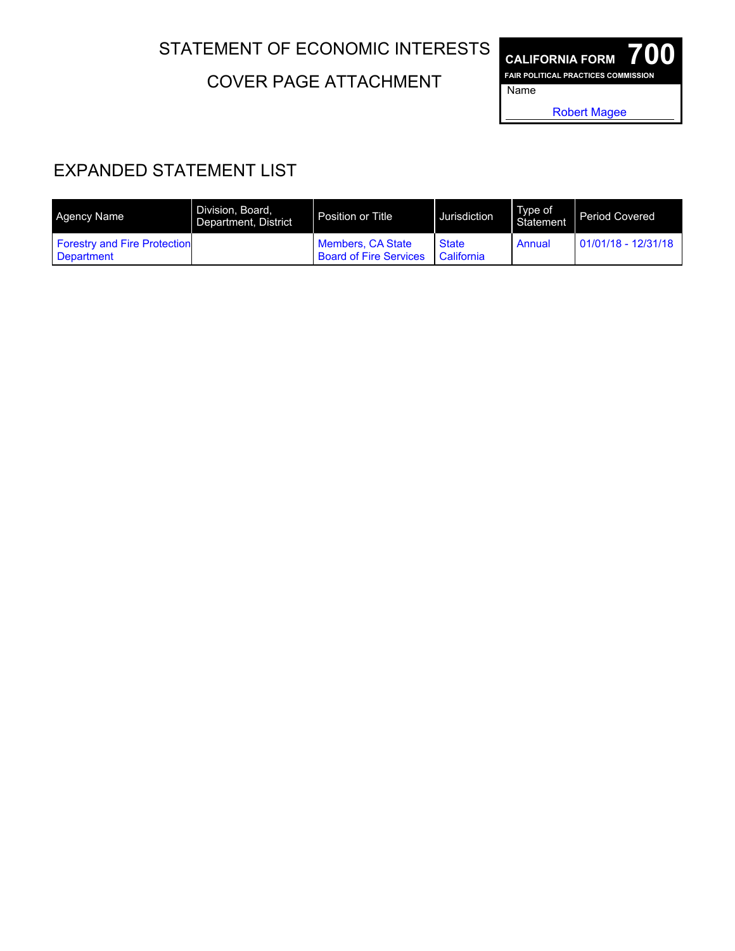## STATEMENT OF ECONOMIC INTERESTS

COVER PAGE ATTACHMENT

**CALIFORNIA FORM 700 FAIR POLITICAL PRACTICES COMMISSION** Name

Robert Magee

## EXPANDED STATEMENT LIST

| Agency Name                                       | Division, Board.<br>Department, District | Position or Title                                  | Jurisdiction               | Type of<br>Statement | <b>Period Covered</b> |
|---------------------------------------------------|------------------------------------------|----------------------------------------------------|----------------------------|----------------------|-----------------------|
| <b>Forestry and Fire Protection</b><br>Department |                                          | Members, CA State<br><b>Board of Fire Services</b> | <b>State</b><br>California | Annual               | $01/01/18 - 12/31/18$ |